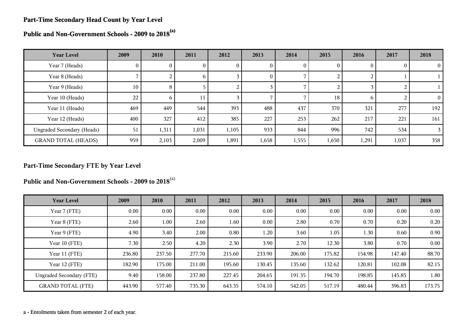#### **Part-Time Secondary Head Count by Year Level**

**Public and Non-Government Schools - 2009 to 2018(a)**

| <b>Year Level</b>                 | 2009 | 2010           | 2011         | 2012  | 2013     | 2014  | 2015     | 2016  | 2017  | 2018          |
|-----------------------------------|------|----------------|--------------|-------|----------|-------|----------|-------|-------|---------------|
| Year 7 (Heads)                    | 0    | $\theta$       | U.           | 0     | 0        | 0     | $\theta$ |       |       | $\theta$      |
| Year 8 (Heads)                    |      | $\overline{2}$ | <sub>0</sub> |       | $\bf{0}$ |       |          |       |       |               |
| Year 9 (Heads)                    | 10   | 8              |              |       |          |       |          |       |       |               |
| Year 10 (Heads)                   | 22   | 6              | 11           |       |          |       | 18       | h     |       | $\Omega$      |
| Year 11 (Heads)                   | 469  | 449            | 544          | 393   | 488      | 437   | 370      | 321   | 277   | 192           |
| Year 12 (Heads)                   | 400  | 327            | 412          | 385   | 227      | 253   | 262      | 217   | 221   | 161           |
| <b>Ungraded Secondary (Heads)</b> | 51   | 1,311          | 1,031        | 1,105 | 933      | 844   | 996      | 742   | 534   | $\mathcal{E}$ |
| <b>GRAND TOTAL (HEADS)</b>        | 959  | 2,103          | 2,009        | 1,891 | 1,658    | 1,555 | 1,650    | 1,291 | 1,037 | 358           |

# **Part-Time Secondary FTE by Year Level**

**Public and Non-Government Schools - 2009 to 2018**(a)

| <b>Year Level</b>               | 2009     | 2010   | 2011   | 2012     | 2013   | 2014   | 2015   | 2016   | 2017   | 2018              |
|---------------------------------|----------|--------|--------|----------|--------|--------|--------|--------|--------|-------------------|
| Year 7 (FTE)                    | $0.00\,$ | 0.00   | 0.00   | $0.00\,$ | 0.00   | 0.00   | 0.00   | 0.00   | 0.00   | $0.00\,$          |
| Year 8 (FTE)                    | 2.60     | 1.00   | 2.60   | 1.60     | 0.00   | 2.80   | 0.70   | 0.70   | 0.20   | 0.20              |
| Year 9 (FTE)                    | 4.90     | 3.40   | 2.00   | 0.80     | 1.20   | 3.60   | 1.05   | 1.30   | 0.60   | 0.90 <sub>1</sub> |
| Year 10 (FTE)                   | 7.30     | 2.50   | 4.20   | 2.30     | 3.90   | 2.70   | 12.30  | 3.80   | 0.70   | 0.00              |
| Year 11 (FTE)                   | 236.80   | 237.50 | 277.70 | 215.60   | 233.90 | 206.00 | 175.82 | 154.98 | 147.40 | 88.70             |
| Year 12 (FTE)                   | 182.90   | 175.00 | 211.00 | 195.60   | 130.45 | 135.60 | 132.62 | 120.81 | 102.08 | 82.15             |
| <b>Ungraded Secondary (FTE)</b> | 9.40     | 158.00 | 237.80 | 227.45   | 204.65 | 191.35 | 194.70 | 198.85 | 145.85 | 1.80              |
| <b>GRAND TOTAL (FTE)</b>        | 443.90   | 577.40 | 735.30 | 643.35   | 574.10 | 542.05 | 517.19 | 480.44 | 396.83 | 173.75            |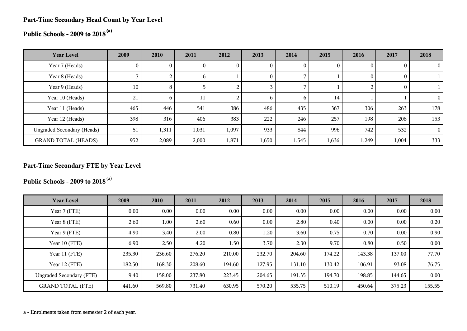# **Part-Time Secondary Head Count by Year Level**

# **Public Schools - 2009 to 2018(a)**

| <b>Year Level</b>                 | 2009 | 2010  | 2011        | 2012  | 2013           | 2014  | 2015  | 2016  | 2017           | 2018     |
|-----------------------------------|------|-------|-------------|-------|----------------|-------|-------|-------|----------------|----------|
| Year 7 (Heads)                    | U.   |       |             | U     | 0              |       |       |       | $\overline{0}$ |          |
| Year 8 (Heads)                    |      | 2     | $\mathbf b$ |       | $\overline{0}$ |       |       |       | $\overline{0}$ |          |
| Year 9 (Heads)                    | 10   | 8     |             |       |                |       |       |       | $\theta$       |          |
| Year 10 (Heads)                   | 21   | 6     | 11          |       | <sub>0</sub>   | 6     | 14    |       |                |          |
| Year 11 (Heads)                   | 465  | 446   | 541         | 386   | 486            | 435   | 367   | 306   | 263            | 178      |
| Year 12 (Heads)                   | 398  | 316   | 406         | 383   | 222            | 246   | 257   | 198   | 208            | 153      |
| <b>Ungraded Secondary (Heads)</b> | 51   | 1,311 | 1,031       | 1,097 | 933            | 844   | 996   | 742   | 532            | $\Omega$ |
| <b>GRAND TOTAL (HEADS)</b>        | 952  | 2,089 | 2,000       | 1,871 | 1,650          | 1,545 | 1,636 | 1,249 | 1,004          | 333      |

# **Part-Time Secondary FTE by Year Level**

**Public Schools - 2009 to 2018**(a)

| <b>Year Level</b>               | 2009   | 2010   | 2011   | 2012   | 2013   | 2014   | 2015   | 2016   | 2017   | 2018   |
|---------------------------------|--------|--------|--------|--------|--------|--------|--------|--------|--------|--------|
| Year 7 (FTE)                    | 0.00   | 0.00   | 0.00   | 0.00   | 0.00   | 0.00   | 0.00   | 0.00   | 0.00   | 0.00   |
| Year 8 (FTE)                    | 2.60   | 1.00   | 2.60   | 0.60   | 0.00   | 2.80   | 0.40   | 0.00   | 0.00   | 0.20   |
| Year 9 (FTE)                    | 4.90   | 3.40   | 2.00   | 0.80   | 1.20   | 3.60   | 0.75   | 0.70   | 0.00   | 0.90   |
| Year 10 (FTE)                   | 6.90   | 2.50   | 4.20   | 1.50   | 3.70   | 2.30   | 9.70   | 0.80   | 0.50   | 0.00   |
| Year 11 (FTE)                   | 235.30 | 236.60 | 276.20 | 210.00 | 232.70 | 204.60 | 174.22 | 143.38 | 137.00 | 77.70  |
| Year 12 (FTE)                   | 182.50 | 168.30 | 208.60 | 194.60 | 127.95 | 131.10 | 130.42 | 106.91 | 93.08  | 76.75  |
| <b>Ungraded Secondary (FTE)</b> | 9.40   | 158.00 | 237.80 | 223.45 | 204.65 | 191.35 | 194.70 | 198.85 | 144.65 | 0.00   |
| <b>GRAND TOTAL (FTE)</b>        | 441.60 | 569.80 | 731.40 | 630.95 | 570.20 | 535.75 | 510.19 | 450.64 | 375.23 | 155.55 |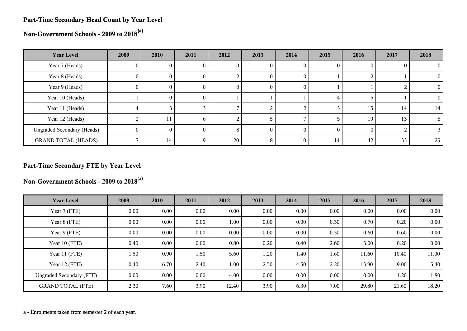#### **Part-Time Secondary Head Count by Year Level**

**Non-Government Schools - 2009 to 2018(a)**

| <b>Year Level</b>                 | 2009         | 2010 | 2011              | 2012 | 2013 | 2014 | 2015     | 2016 | 2017 | 2018     |
|-----------------------------------|--------------|------|-------------------|------|------|------|----------|------|------|----------|
| Year 7 (Heads)                    | U.           |      |                   | U    |      |      |          |      |      |          |
| Year 8 (Heads)                    | $\mathbf{0}$ | 0.   | U.                |      | U    |      |          |      |      | $\Omega$ |
| Year 9 (Heads)                    | 0            | U    | U                 | U    | U    |      |          |      |      | $\Omega$ |
| Year 10 (Heads)                   |              | O.   | O.                |      |      |      |          |      |      | 0        |
| Year 11 (Heads)                   |              |      |                   |      |      |      |          | 15   | 14   | 14       |
| Year 12 (Heads)                   |              | 11   | h.                |      |      |      |          | 19   | 13   | 8        |
| <b>Ungraded Secondary (Heads)</b> | $^{\circ}$   |      |                   | 8    |      |      | $\Omega$ |      |      |          |
| <b>GRAND TOTAL (HEADS)</b>        |              | 14   | $\mathbf{\Omega}$ | 20   | 8    | 10   | 14       | 42   | 33   | 25       |

# **Part-Time Secondary FTE by Year Level**

**Non-Government Schools - 2009 to 2018**(a)

| <b>Year Level</b>               | 2009     | 2010     | 2011     | 2012     | 2013 | 2014 | 2015 | 2016     | 2017  | 2018  |
|---------------------------------|----------|----------|----------|----------|------|------|------|----------|-------|-------|
| Year 7 (FTE)                    | $0.00\,$ | $0.00\,$ | $0.00\,$ | 0.00     | 0.00 | 0.00 | 0.00 | $0.00\,$ | 0.00  | 0.00  |
| Year 8 (FTE)                    | 0.00     | $0.00\,$ | $0.00\,$ | 1.00     | 0.00 | 0.00 | 0.30 | 0.70     | 0.20  | 0.00  |
| Year 9 (FTE)                    | 0.00     | $0.00\,$ | 0.00     | 0.00     | 0.00 | 0.00 | 0.30 | 0.60     | 0.60  | 0.00  |
| Year 10 (FTE)                   | 0.40     | $0.00\,$ | 0.00     | 0.80     | 0.20 | 0.40 | 2.60 | 3.00     | 0.20  | 0.00  |
| Year 11 (FTE)                   | 1.50     | 0.90     | 1.50     | 5.60     | 1.20 | 1.40 | 1.60 | 11.60    | 10.40 | 11.00 |
| Year 12 (FTE)                   | 0.40     | 6.70     | 2.40     | $1.00\,$ | 2.50 | 4.50 | 2.20 | 13.90    | 9.00  | 5.40  |
| <b>Ungraded Secondary (FTE)</b> | 0.00     | $0.00\,$ | 0.00     | 4.00     | 0.00 | 0.00 | 0.00 | $0.00\,$ | 1.20  | 1.80  |
| <b>GRAND TOTAL (FTE)</b>        | 2.30     | 7.60     | 3.90     | 12.40    | 3.90 | 6.30 | 7.00 | 29.80    | 21.60 | 18.20 |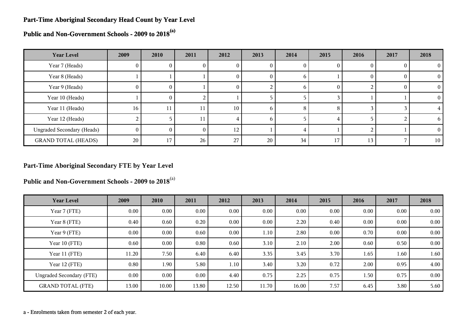#### **Part-Time Aboriginal Secondary Head Count by Year Level**

**Public and Non-Government Schools - 2009 to 2018(a)**

| <b>Year Level</b>                 | 2009     | 2010     | 2011 | 2012 | 2013 | 2014         | 2015 | 2016   | 2017 | 2018     |
|-----------------------------------|----------|----------|------|------|------|--------------|------|--------|------|----------|
| Year 7 (Heads)                    | U        | v        |      | U    | U    | U            |      |        |      | 0        |
| Year 8 (Heads)                    |          |          |      | U    | O    | <sub>n</sub> |      | $_{0}$ |      | $\Omega$ |
| Year 9 (Heads)                    | $\theta$ | $\theta$ |      | O    |      | b            | O    |        |      | $\Omega$ |
| Year 10 (Heads)                   |          | $\theta$ |      |      |      |              |      |        |      | 0        |
| Year 11 (Heads)                   | 16       | 11       | 11   | 10   | n    | 8            | 8    |        |      |          |
| Year 12 (Heads)                   |          |          | 11   |      | h    |              |      |        |      | h.       |
| <b>Ungraded Secondary (Heads)</b> | $\Omega$ | 0        | 0    | 12   |      |              |      |        |      | 0        |
| <b>GRAND TOTAL (HEADS)</b>        | 20       | 17       | 26   | 27   | 20   | 34           | 17   | 13     |      | 10       |

# **Part-Time Aboriginal Secondary FTE by Year Level**

**Public and Non-Government Schools - 2009 to 2018**(a)

| <b>Year Level</b>               | 2009  | 2010     | 2011     | 2012  | 2013  | 2014  | 2015 | 2016     | 2017     | 2018 |
|---------------------------------|-------|----------|----------|-------|-------|-------|------|----------|----------|------|
| Year 7 (FTE)                    | 0.00  | $0.00\,$ | 0.00     | 0.00  | 0.00  | 0.00  | 0.00 | $0.00\,$ | 0.00     | 0.00 |
| Year 8 (FTE)                    | 0.40  | 0.60     | 0.20     | 0.00  | 0.00  | 2.20  | 0.40 | 0.00     | $0.00\,$ | 0.00 |
| Year 9 (FTE)                    | 0.00  | $0.00\,$ | 0.60     | 0.00  | 1.10  | 2.80  | 0.00 | 0.70     | 0.00     | 0.00 |
| Year 10 (FTE)                   | 0.60  | $0.00\,$ | 0.80     | 0.60  | 3.10  | 2.10  | 2.00 | 0.60     | 0.50     | 0.00 |
| Year 11 (FTE)                   | 11.20 | 7.50     | 6.40     | 6.40  | 3.35  | 3.45  | 3.70 | 1.65     | 1.60     | 1.60 |
| Year 12 (FTE)                   | 0.80  | 1.90     | 5.80     | 1.10  | 3.40  | 3.20  | 0.72 | 2.00     | 0.95     | 4.00 |
| <b>Ungraded Secondary (FTE)</b> | 0.00  | $0.00\,$ | $0.00\,$ | 4.40  | 0.75  | 2.25  | 0.75 | 1.50     | 0.75     | 0.00 |
| <b>GRAND TOTAL (FTE)</b>        | 13.00 | 10.00    | 13.80    | 12.50 | 11.70 | 16.00 | 7.57 | 6.45     | 3.80     | 5.60 |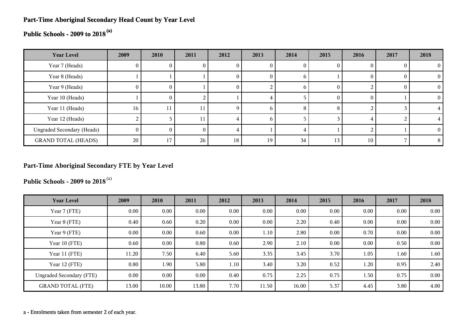# **Part-Time Aboriginal Secondary Head Count by Year Level**

# **Public Schools - 2009 to 2018(a)**

| <b>Year Level</b>                 | 2009   | 2010     | 2011 | 2012     | 2013         | 2014 | 2015     | 2016 | 2017 | 2018     |
|-----------------------------------|--------|----------|------|----------|--------------|------|----------|------|------|----------|
| Year 7 (Heads)                    | U.     |          |      | U        |              |      |          |      |      |          |
| Year 8 (Heads)                    |        |          |      | v        | $\mathbf{0}$ | O    |          |      |      | $\Omega$ |
| Year 9 (Heads)                    | 0      | $\Omega$ |      | $\theta$ |              | n    | $\theta$ |      |      | $\theta$ |
| Year 10 (Heads)                   |        | $\Omega$ |      |          |              |      | $\theta$ |      |      | 0        |
| Year 11 (Heads)                   | 16     | 11       |      | Q        | n            | 8    | 8        |      |      |          |
| Year 12 (Heads)                   |        |          | 11   |          | h            |      |          |      |      |          |
| <b>Ungraded Secondary (Heads)</b> | $^{0}$ | 0        | 0    |          |              | 4    |          |      |      | $\theta$ |
| <b>GRAND TOTAL (HEADS)</b>        | 20     | 17       | 26   | 18       | 19           | 34   | 13       | 10   |      | 8        |

# **Part-Time Aboriginal Secondary FTE by Year Level**

**Public Schools - 2009 to 2018**(a)

| <b>Year Level</b>               | 2009     | 2010     | 2011     | 2012 | 2013  | 2014  | 2015 | 2016 | 2017 | 2018 |
|---------------------------------|----------|----------|----------|------|-------|-------|------|------|------|------|
| Year 7 (FTE)                    | $0.00\,$ | 0.00     | $0.00\,$ | 0.00 | 0.00  | 0.00  | 0.00 | 0.00 | 0.00 | 0.00 |
| Year 8 (FTE)                    | 0.40     | 0.60     | 0.20     | 0.00 | 0.00  | 2.20  | 0.40 | 0.00 | 0.00 | 0.00 |
| Year 9 (FTE)                    | $0.00\,$ | $0.00\,$ | 0.60     | 0.00 | 1.10  | 2.80  | 0.00 | 0.70 | 0.00 | 0.00 |
| Year 10 (FTE)                   | 0.60     | $0.00\,$ | 0.80     | 0.60 | 2.90  | 2.10  | 0.00 | 0.00 | 0.50 | 0.00 |
| Year 11 (FTE)                   | 11.20    | 7.50     | 6.40     | 5.60 | 3.35  | 3.45  | 3.70 | 1.05 | 1.60 | 1.60 |
| Year 12 (FTE)                   | 0.80     | 1.90     | 5.80     | 1.10 | 3.40  | 3.20  | 0.52 | 1.20 | 0.95 | 2.40 |
| <b>Ungraded Secondary (FTE)</b> | 0.00     | $0.00\,$ | $0.00\,$ | 0.40 | 0.75  | 2.25  | 0.75 | 1.50 | 0.75 | 0.00 |
| <b>GRAND TOTAL (FTE)</b>        | 13.00    | 10.00    | 13.80    | 7.70 | 11.50 | 16.00 | 5.37 | 4.45 | 3.80 | 4.00 |

a - Enrolments taken from semester 2 of each year.